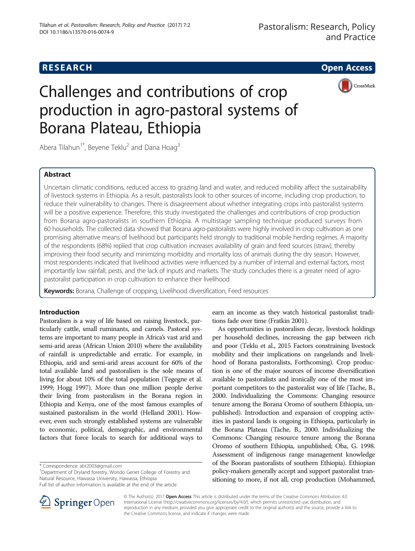## **RESEARCH CHE Open Access**



# Challenges and contributions of crop production in agro-pastoral systems of Borana Plateau, Ethiopia

Abera Tilahun<sup>1\*</sup>, Beyene Teklu<sup>2</sup> and Dana Hoag<sup>3</sup>

## Abstract

Uncertain climatic conditions, reduced access to grazing land and water, and reduced mobility affect the sustainability of livestock systems in Ethiopia. As a result, pastoralists look to other sources of income, including crop production, to reduce their vulnerability to changes. There is disagreement about whether integrating crops into pastoralist systems will be a positive experience. Therefore, this study investigated the challenges and contributions of crop production from Borana agro-pastoralists in southern Ethiopia. A multistage sampling technique produced surveys from 60 households. The collected data showed that Borana agro-pastoralists were highly involved in crop cultivation as one promising alternative means of livelihood but participants held strongly to traditional mobile herding regimes. A majority of the respondents (68%) replied that crop cultivation increases availability of grain and feed sources (straw), thereby improving their food security and minimizing morbidity and mortality loss of animals during the dry season. However, most respondents indicated that livelihood activities were influenced by a number of internal and external factors, most importantly low rainfall, pests, and the lack of inputs and markets. The study concludes there is a greater need of agropastoralist participation in crop cultivation to enhance their livelihood.

Keywords: Borana, Challenge of cropping, Livelihood diversification, Feed resources

## Introduction

Pastoralism is a way of life based on raising livestock, particularly cattle, small ruminants, and camels. Pastoral systems are important to many people in Africa's vast arid and semi-arid areas (African Union [2010](#page-7-0)) where the availability of rainfall is unpredictable and erratic. For example, in Ethiopia, arid and semi-arid areas account for 60% of the total available land and pastoralism is the sole means of living for about 10% of the total population (Tegegne et al. [1999;](#page-7-0) Hogg [1997](#page-7-0)). More than one million people derive their living from pastoralism in the Borana region in Ethiopia and Kenya, one of the most famous examples of sustained pastoralism in the world (Helland [2001\)](#page-7-0). However, even such strongly established systems are vulnerable to economic, political, demographic, and environmental factors that force locals to search for additional ways to

<sup>1</sup>Department of Dryland forestry, Wondo Genet College of Forestry and Natural Resource, Hawassa University, Hawassa, Ethiopia

earn an income as they watch historical pastoralist traditions fade over time (Fratkin [2001](#page-7-0)).

As opportunities in pastoralism decay, livestock holdings per household declines, increasing the gap between rich and poor (Teklu et al., [2015](#page-7-0) Factors constraining livestock mobility and their implications on rangelands and livelihood of Borana pastoralists, Forthcoming). Crop production is one of the major sources of income diversification available to pastoralists and ironically one of the most important competitors to the pastoralist way of life (Tache, B., [2000.](#page-7-0) Individualizing the Commons: Changing resource tenure among the Borana Oromo of southern Ethiopia, unpublished). Introduction and expansion of cropping activities in pastoral lands is ongoing in Ethiopia, particularly in the Borana Plateau (Tache, B., [2000.](#page-7-0) Individualizing the Commons: Changing resource tenure among the Borana Oromo of southern Ethiopia, unpublished; Oba, G. [1998](#page-7-0). Assessment of indigenous range management knowledge of the Booran pastoralists of southern Ethiopia). Ethiopian policy-makers generally accept and support pastoralist transitioning to more, if not all, crop production (Mohammed,



© The Author(s). 2017 Open Access This article is distributed under the terms of the Creative Commons Attribution 4.0 International License ([http://creativecommons.org/licenses/by/4.0/\)](http://creativecommons.org/licenses/by/4.0/), which permits unrestricted use, distribution, and reproduction in any medium, provided you give appropriate credit to the original author(s) and the source, provide a link to the Creative Commons license, and indicate if changes were made.

<sup>\*</sup> Correspondence: [abt2003@gmail.com](mailto:abt2003@gmail.com) <sup>1</sup>

Full list of author information is available at the end of the article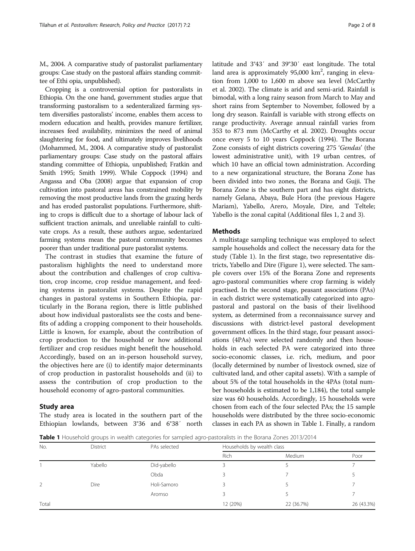M., [2004.](#page-7-0) A comparative study of pastoralist parliamentary groups: Case study on the pastoral affairs standing committee of Ethi opia, unpublished).

Cropping is a controversial option for pastoralists in Ethiopia. On the one hand, government studies argue that transforming pastoralism to a sedenteralized farming system diversifies pastoralists' income, enables them access to modern education and health, provides manure fertilizer, increases feed availability, minimizes the need of animal slaughtering for food, and ultimately improves livelihoods (Mohammed, M., [2004](#page-7-0). A comparative study of pastoralist parliamentary groups: Case study on the pastoral affairs standing committee of Ethiopia, unpublished; Fratkin and Smith [1995](#page-7-0); Smith [1999\)](#page-7-0). While Coppock ([1994\)](#page-7-0) and Angassa and Oba [\(2008](#page-7-0)) argue that expansion of crop cultivation into pastoral areas has constrained mobility by removing the most productive lands from the grazing herds and has eroded pastoralist populations. Furthermore, shifting to crops is difficult due to a shortage of labour lack of sufficient traction animals, and unreliable rainfall to cultivate crops. As a result, these authors argue, sedentarized farming systems mean the pastoral community becomes poorer than under traditional pure pastoralist systems.

The contrast in studies that examine the future of pastoralism highlights the need to understand more about the contribution and challenges of crop cultivation, crop income, crop residue management, and feeding systems in pastoralist systems. Despite the rapid changes in pastoral systems in Southern Ethiopia, particularly in the Borana region, there is little published about how individual pastoralists see the costs and benefits of adding a cropping component to their households. Little is known, for example, about the contribution of crop production to the household or how additional fertilizer and crop residues might benefit the household. Accordingly, based on an in-person household survey, the objectives here are (i) to identify major determinants of crop production in pastoralist households and (ii) to assess the contribution of crop production to the household economy of agro-pastoral communities.

#### Study area

The study area is located in the southern part of the Ethiopian lowlands, between 3°36 and 6°38′ north latitude and 3°43′ and 39°30′ east longitude. The total land area is approximately 95,000  $km^2$ , ranging in elevation from 1,000 to 1,600 m above sea level (McCarthy et al. [2002](#page-7-0)). The climate is arid and semi-arid. Rainfall is bimodal, with a long rainy season from March to May and short rains from September to November, followed by a long dry season. Rainfall is variable with strong effects on range productivity. Average annual rainfall varies from 353 to 873 mm (McCarthy et al. [2002](#page-7-0)). Droughts occur once every 5 to 10 years Coppock [\(1994\)](#page-7-0). The Borana Zone consists of eight districts covering 275 'Gendas' (the lowest administrative unit), with 19 urban centres, of which 10 have an official town administration. According to a new organizational structure, the Borana Zone has been divided into two zones, the Borana and Gujji. The Borana Zone is the southern part and has eight districts, namely Gelana, Abaya, Bule Hora (the previous Hagere Mariam), Yabello, Arero, Moyale, Dire, and Teltele; Yabello is the zonal capital (Additional files [1](#page-7-0), [2](#page-7-0) and [3\)](#page-7-0).

#### Methods

A multistage sampling technique was employed to select sample households and collect the necessary data for the study (Table 1). In the first stage, two representative districts, Yabello and Dire (Figure [1\)](#page-2-0), were selected. The sample covers over 15% of the Borana Zone and represents agro-pastoral communities where crop farming is widely practised. In the second stage, peasant associations (PAs) in each district were systematically categorized into agropastoral and pastoral on the basis of their livelihood system, as determined from a reconnaissance survey and discussions with district-level pastoral development government offices. In the third stage, four peasant associations (4PAs) were selected randomly and then households in each selected PA were categorized into three socio-economic classes, i.e. rich, medium, and poor (locally determined by number of livestock owned, size of cultivated land, and other capital assets). With a sample of about 5% of the total households in the 4PAs (total number households is estimated to be 1,184), the total sample size was 60 households. Accordingly, 15 households were chosen from each of the four selected PAs; the 15 sample households were distributed by the three socio-economic classes in each PA as shown in Table 1. Finally, a random

Table 1 Household groups in wealth categories for sampled agro-pastoralists in the Borana Zones 2013/2014

| No.   | District    | PAs selected | Households by wealth class |            |            |  |  |
|-------|-------------|--------------|----------------------------|------------|------------|--|--|
|       |             |              | Rich                       | Medium     | Poor       |  |  |
|       | Yabello     | Did-yabello  |                            |            |            |  |  |
|       |             | Obda         |                            |            |            |  |  |
| 2     | <b>Dire</b> | Holi-Samoro  |                            |            |            |  |  |
|       |             | Aromso       |                            |            |            |  |  |
| Total |             |              | 12 (20%)                   | 22 (36.7%) | 26 (43.3%) |  |  |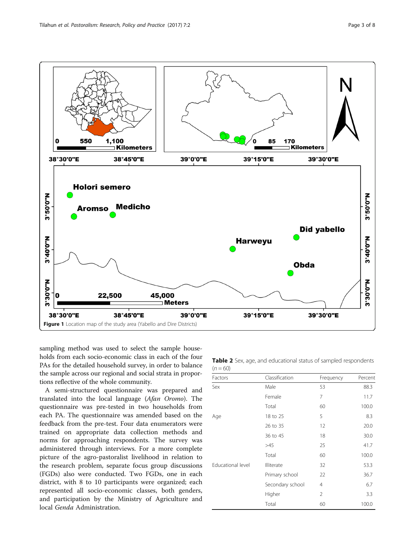<span id="page-2-0"></span>

sampling method was used to select the sample households from each socio-economic class in each of the four PAs for the detailed household survey, in order to balance

Figure 1 Location map of the study area (Yabello and Dire Districts)

the sample across our regional and social strata in propor-

tions reflective of the whole community. A semi-structured questionnaire was prepared and translated into the local language (Afan Oromo). The questionnaire was pre-tested in two households from each PA. The questionnaire was amended based on the feedback from the pre-test. Four data enumerators were trained on appropriate data collection methods and norms for approaching respondents. The survey was administered through interviews. For a more complete picture of the agro-pastoralist livelihood in relation to the research problem, separate focus group discussions (FGDs) also were conducted. Two FGDs, one in each district, with 8 to 10 participants were organized; each represented all socio-economic classes, both genders, and participation by the Ministry of Agriculture and local Genda Administration.

|            | <b>Table 2</b> Sex, age, and educational status of sampled respondents |  |
|------------|------------------------------------------------------------------------|--|
| $(n = 60)$ |                                                                        |  |

| Factors           | Classification   | Frequency | Percent |
|-------------------|------------------|-----------|---------|
| Sex               | Male             | 53        | 88.3    |
|                   | Female           | 7         | 11.7    |
|                   | Total            | 60        | 100.0   |
| Age               | 18 to 25         | 5         | 8.3     |
|                   | 26 to 35         | 12        | 20.0    |
|                   | 36 to 45         | 18        | 30.0    |
|                   | >45              | 25        | 41.7    |
|                   | Total            | 60        | 100.0   |
| Educational level | Illiterate       | 32        | 53.3    |
|                   | Primary school   | 22        | 36.7    |
|                   | Secondary school | 4         | 6.7     |
|                   | Higher           | 2         | 3.3     |
|                   | Total            | 60        | 100.0   |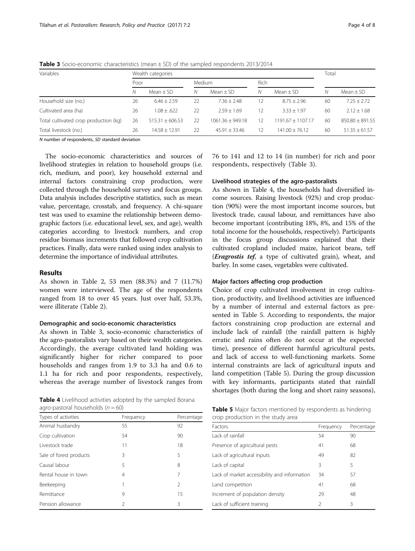| Variables                             | Wealth categories |                   |    |                    |    |                    |    | Total               |
|---------------------------------------|-------------------|-------------------|----|--------------------|----|--------------------|----|---------------------|
|                                       | Poor              |                   |    | Medium             |    | Rich               |    |                     |
|                                       | Ν                 | $Mean + SD$       | N  | Mean $\pm$ SD      | Ν  | $Mean + SD$        | Ν  | Mean $\pm$ SD       |
| Household size (no.)                  | 26                | $6.46 + 2.59$     | 22 | $7.36 + 2.48$      | 12 | $8.75 + 2.96$      | 60 | $7.25 + 2.72$       |
| Cultivated area (ha)                  | 26                | $1.08 + .622$     | 22 | $2.59 + 1.69$      | 12 | $3.33 + 1.97$      | 60 | $2.12 + 1.68$       |
| Total cultivated crop production (kg) | 26                | $515.31 + 606.53$ | 22 | $1061.36 + 949.18$ |    | 1191.67 + 1107.17  | 60 | $850.80 \pm 891.55$ |
| Total livestock (no.)                 | 26                | $14.58 + 12.91$   | 22 | $45.91 + 33.46$    | 12 | $141.00 \pm 76.12$ | 60 | $51.35 \pm 61.57$   |

**Table 3** Socio-economic characteristics (mean  $\pm$  SD) of the sampled respondents 2013/2014

N number of respondents, SD standard deviation

The socio-economic characteristics and sources of livelihood strategies in relation to household groups (i.e. rich, medium, and poor), key household external and internal factors constraining crop production, were collected through the household survey and focus groups. Data analysis includes descriptive statistics, such as mean value, percentage, crosstab, and frequency. A chi-square test was used to examine the relationship between demographic factors (i.e. educational level, sex, and age), wealth categories according to livestock numbers, and crop residue biomass increments that followed crop cultivation practices. Finally, data were ranked using index analysis to determine the importance of individual attributes.

#### Results

As shown in Table [2,](#page-2-0) 53 men (88.3%) and 7 (11.7%) women were interviewed. The age of the respondents ranged from 18 to over 45 years. Just over half, 53.3%, were illiterate (Table [2\)](#page-2-0).

#### Demographic and socio-economic characteristics

As shown in Table 3, socio-economic characteristics of the agro-pastoralists vary based on their wealth categories. Accordingly, the average cultivated land holding was significantly higher for richer compared to poor households and ranges from 1.9 to 3.3 ha and 0.6 to 1.1 ha for rich and poor respondents, respectively, whereas the average number of livestock ranges from

Table 4 Livelihood activities adopted by the sampled Borana agro-pastoral households  $(n = 60)$ 

| agro-pastoral households ( <i>n</i> = 60) |                |               |  |  |  |  |  |
|-------------------------------------------|----------------|---------------|--|--|--|--|--|
| Types of activities                       | Frequency      | Percentage    |  |  |  |  |  |
| Animal husbandry                          | 55             | 92            |  |  |  |  |  |
| Crop cultivation                          | 54             | 90            |  |  |  |  |  |
| Livestock trade                           | 11             | 18            |  |  |  |  |  |
| Sale of forest products                   | 3              | 5             |  |  |  |  |  |
| Causal labour                             | 5              | 8             |  |  |  |  |  |
| Rental house in town                      | 4              | 7             |  |  |  |  |  |
| Beekeeping                                |                | $\mathcal{P}$ |  |  |  |  |  |
| Remittance                                | 9              | 15            |  |  |  |  |  |
| Pension allowance                         | $\mathfrak{D}$ | 3             |  |  |  |  |  |

76 to 141 and 12 to 14 (in number) for rich and poor respondents, respectively (Table 3).

#### Livelihood strategies of the agro-pastoralists

As shown in Table 4, the households had diversified income sources. Raising livestock (92%) and crop production (90%) were the most important income sources, but livestock trade, causal labour, and remittances have also become important (contributing 18%, 8%, and 15% of the total income for the households, respectively). Participants in the focus group discussions explained that their cultivated cropland included maize, haricot beans, teff (*Eragrostis tef*, a type of cultivated grain), wheat, and barley. In some cases, vegetables were cultivated.

#### Major factors affecting crop production

Choice of crop cultivated involvement in crop cultivation, productivity, and livelihood activities are influenced by a number of internal and external factors as presented in Table 5. According to respondents, the major factors constraining crop production are external and include lack of rainfall (the rainfall pattern is highly erratic and rains often do not occur at the expected time), presence of different harmful agricultural pests, and lack of access to well-functioning markets. Some internal constraints are lack of agricultural inputs and land competition (Table 5). During the group discussion with key informants, participants stated that rainfall shortages (both during the long and short rainy seasons),

|  |  |                                   | Table 5 Major factors mentioned by respondents as hindering |  |
|--|--|-----------------------------------|-------------------------------------------------------------|--|
|  |  | crop production in the study area |                                                             |  |

| Factors                                      | Frequency | Percentage |
|----------------------------------------------|-----------|------------|
| Lack of rainfall                             | 54        | 90         |
| Presence of agricultural pests               | 41        | 68         |
| Lack of agricultural inputs                  | 49        | 82         |
| Lack of capital                              | 3         | 5          |
| Lack of market accessibility and information | 34        | 57         |
| Land competition                             | 41        | 68         |
| Increment of population density              | 29        | 48         |
| Lack of sufficient training                  | 2         | 3          |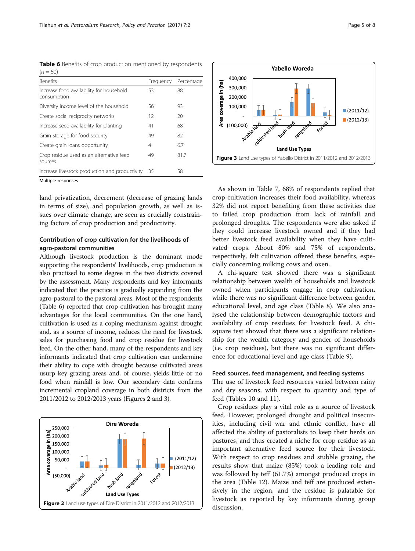<span id="page-4-0"></span>Table 6 Benefits of crop production mentioned by respondents  $(n = 60)$ 

| <b>Benefits</b>                                         | Frequency | Percentage |
|---------------------------------------------------------|-----------|------------|
| Increase food availability for household<br>consumption | 53        | 88         |
| Diversify income level of the household                 | 56        | 93         |
| Create social reciprocity networks                      | 12        | 20         |
| Increase seed availability for planting                 | 41        | 68         |
| Grain storage for food security                         | 49        | 82         |
| Create grain loans opportunity                          | 4         | 6.7        |
| Crop residue used as an alternative feed<br>sources     | 49        | 81.7       |
| Increase livestock production and productivity          | 35        | 58         |

Multiple responses

land privatization, decrement (decrease of grazing lands in terms of size), and population growth, as well as issues over climate change, are seen as crucially constraining factors of crop production and productivity.

#### Contribution of crop cultivation for the livelihoods of agro-pastoral communities

Although livestock production is the dominant mode supporting the respondents' livelihoods, crop production is also practised to some degree in the two districts covered by the assessment. Many respondents and key informants indicated that the practice is gradually expanding from the agro-pastoral to the pastoral areas. Most of the respondents (Table 6) reported that crop cultivation has brought many advantages for the local communities. On the one hand, cultivation is used as a coping mechanism against drought and, as a source of income, reduces the need for livestock sales for purchasing food and crop residue for livestock feed. On the other hand, many of the respondents and key informants indicated that crop cultivation can undermine their ability to cope with drought because cultivated areas usurp key grazing areas and, of course, yields little or no food when rainfall is low. Our secondary data confirms incremental cropland coverage in both districts from the 2011/2012 to 2012/2013 years (Figures 2 and 3).





As shown in Table [7,](#page-5-0) 68% of respondents replied that crop cultivation increases their food availability, whereas 32% did not report benefiting from these activities due to failed crop production from lack of rainfall and prolonged droughts. The respondents were also asked if they could increase livestock owned and if they had better livestock feed availability when they have cultivated crops. About 80% and 75% of respondents, respectively, felt cultivation offered these benefits, especially concerning milking cows and oxen.

A chi-square test showed there was a significant relationship between wealth of households and livestock owned when participants engage in crop cultivation, while there was no significant difference between gender, educational level, and age class (Table [8\)](#page-5-0). We also analysed the relationship between demographic factors and availability of crop residues for livestock feed. A chisquare test showed that there was a significant relationship for the wealth category and gender of households (i.e. crop residues), but there was no significant difference for educational level and age class (Table [9\)](#page-5-0).

#### Feed sources, feed management, and feeding systems

The use of livestock feed resources varied between rainy and dry seasons, with respect to quantity and type of feed (Tables [10](#page-5-0) and [11](#page-6-0)).

Crop residues play a vital role as a source of livestock feed. However, prolonged drought and political insecurities, including civil war and ethnic conflict, have all affected the ability of pastoralists to keep their herds on pastures, and thus created a niche for crop residue as an important alternative feed source for their livestock. With respect to crop residues and stubble grazing, the results show that maize (85%) took a leading role and was followed by teff (61.7%) amongst produced crops in the area (Table [12\)](#page-6-0). Maize and teff are produced extensively in the region, and the residue is palatable for livestock as reported by key informants during group discussion.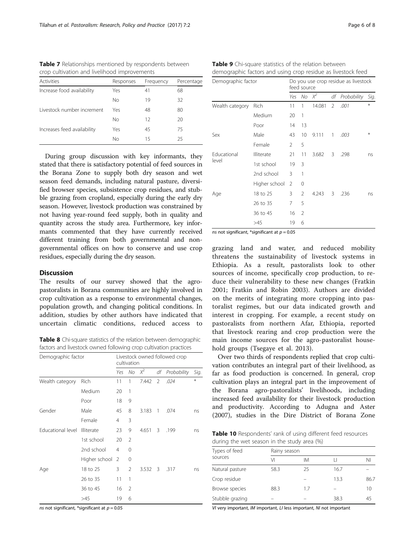<span id="page-5-0"></span>Table 7 Relationships mentioned by respondents between crop cultivation and livelihood improvements

| <b>Activities</b>           | Responses | Frequency | Percentage |
|-----------------------------|-----------|-----------|------------|
| Increase food availability  | Yes       | 41        | 68         |
|                             | Nο        | 19        | 32         |
| Livestock number increment  | Yes       | 48        | 80         |
|                             | No        | 12        | 20         |
| Increases feed availability | Yes       | 45        | 75         |
|                             | No        | 15        | 25         |

During group discussion with key informants, they stated that there is satisfactory potential of feed sources in the Borana Zone to supply both dry season and wet season feed demands, including natural pasture, diversified browser species, subsistence crop residues, and stubble grazing from cropland, especially during the early dry season. However, livestock production was constrained by not having year-round feed supply, both in quality and quantity across the study area. Furthermore, key informants commented that they have currently received different training from both governmental and nongovernmental offices on how to conserve and use crop residues, especially during the dry season.

### **Discussion**

The results of our survey showed that the agropastoralists in Borana communities are highly involved in crop cultivation as a response to environmental changes, population growth, and changing political conditions. In addition, studies by other authors have indicated that uncertain climatic conditions, reduced access to

Table 8 Chi-square statistics of the relation between demographic factors and livestock owned following crop cultivation practices

| Demographic factor |               | Livestock owned followed crop<br>cultivation |               |            |                |             |      |  |
|--------------------|---------------|----------------------------------------------|---------------|------------|----------------|-------------|------|--|
|                    |               | Yes                                          | No            | $X^2$      | df             | Probability | Sig. |  |
| Wealth category    | Rich          | 11                                           | 1             | 7.442      | 2              | .024        | ⋇    |  |
|                    | Medium        | 20                                           | 1             |            |                |             |      |  |
|                    | Poor          | 18                                           | 9             |            |                |             |      |  |
| Gender             | Male          | 45                                           | 8             | 3.183      | $\overline{1}$ | .074        | ns   |  |
|                    | Female        | $\overline{4}$                               | 3             |            |                |             |      |  |
| Educational level  | Illiterate    | 23                                           | 9             | 3<br>4.651 |                | .199        | ns   |  |
|                    | 1st school    | 20                                           | 2             |            |                |             |      |  |
|                    | 2nd school    | 4                                            | $\Omega$      |            |                |             |      |  |
|                    | Higher school | 2                                            | $\Omega$      |            |                |             |      |  |
| Age                | 18 to 25      | 3                                            | 2             | 3.532      | 3              | .317        | ns   |  |
|                    | 26 to 35      | 11                                           | 1             |            |                |             |      |  |
|                    | 36 to 45      | 16                                           | $\mathcal{P}$ |            |                |             |      |  |
|                    | >45           | 19                                           | 6             |            |                |             |      |  |

ns not significant, \*significant at  $p = 0.05$ 

| Demographic factor |               | Do you use crop residue as livestock<br>feed source |                |        |    |             |      |  |
|--------------------|---------------|-----------------------------------------------------|----------------|--------|----|-------------|------|--|
|                    |               | Yes                                                 | $No X^2$       |        | df | Probability | Sig. |  |
| Wealth category    | Rich          | 11                                                  | 1              | 14.081 | 2  | .001        | $*$  |  |
|                    | Medium        | 20                                                  | 1              |        |    |             |      |  |
|                    | Poor          | 14                                                  | 13             |        |    |             |      |  |
| Sex                | Male          | 43                                                  | 10             | 9.111  | 1  | .003        | ⋇    |  |
|                    | Female        | 2                                                   | 5              |        |    |             |      |  |
| Educational        | Illiterate    | 21                                                  | 11             | 3.682  | 3  | .298        | ns   |  |
| level              | 1st school    | 19                                                  | 3              |        |    |             |      |  |
|                    | 2nd school    | 3                                                   | 1              |        |    |             |      |  |
|                    | Higher school | $\overline{2}$                                      | 0              |        |    |             |      |  |
| Age                | 18 to 25      | 3                                                   | 2              | 4.243  | 3  | .236        | ns   |  |
|                    | 26 to 35      | 7                                                   | 5              |        |    |             |      |  |
|                    | 36 to 45      | 16                                                  | $\overline{2}$ |        |    |             |      |  |
|                    | >45           | 19                                                  | 6              |        |    |             |      |  |

Table 9 Chi-square statistics of the relation between demographic factors and using crop residue as livestock feed

ns not significant, \*significant at  $p = 0.05$ 

grazing land and water, and reduced mobility threatens the sustainability of livestock systems in Ethiopia. As a result, pastoralists look to other sources of income, specifically crop production, to reduce their vulnerability to these new changes (Fratkin [2001;](#page-7-0) Fratkin and Robin [2003](#page-7-0)). Authors are divided on the merits of integrating more cropping into pastoralist regimes, but our data indicated growth and interest in cropping. For example, a recent study on pastoralists from northern Afar, Ethiopia, reported that livestock rearing and crop production were the main income sources for the agro-pastoralist household groups (Tsegaye et al. [2013](#page-7-0)).

Over two thirds of respondents replied that crop cultivation contributes an integral part of their livelihood, as far as food production is concerned. In general, crop cultivation plays an integral part in the improvement of the Borana agro-pastoralists' livelihoods, including increased feed availability for their livestock production and productivity. According to Adugna and Aster ([2007\)](#page-7-0), studies in the Dire District of Borana Zone

Table 10 Respondents' rank of using different feed resources during the wet season in the study area (%)

| Types of feed   | Rainy season |    |      |      |  |  |  |
|-----------------|--------------|----|------|------|--|--|--|
| sources         | VI           | IM | Н    | NI   |  |  |  |
| Natural pasture | 58.3         | 25 | 16.7 |      |  |  |  |
| Crop residue    |              |    | 13.3 | 86.7 |  |  |  |
| Browse species  | 88.3         | 17 |      | 10   |  |  |  |
| Stubble grazing |              |    | 38.3 | 45   |  |  |  |

VI very important, IM important, LI less important, NI not important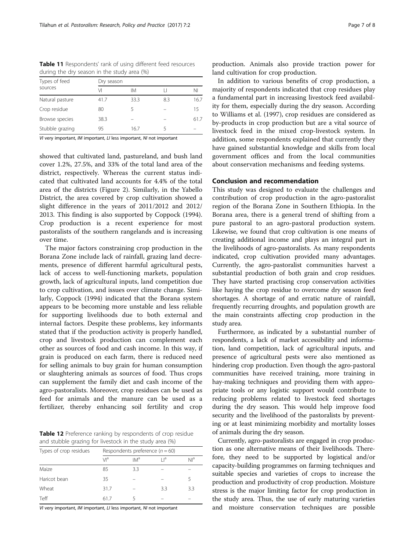| Types of feed<br>sources | Dry season |      |     |      |  |
|--------------------------|------------|------|-----|------|--|
|                          | VI         | IM   |     | NI   |  |
| Natural pasture          | 41.7       | 33.3 | 8.3 | 16.7 |  |
| Crop residue             | 80         | 5    |     | 15.  |  |
| Browse species           | 38.3       |      |     | 61.7 |  |
| Stubble grazing          | 95         | 16.7 |     |      |  |

<span id="page-6-0"></span>Table 11 Respondents' rank of using different feed resources during the dry season in the study area (%)

VI very important, IM important, LI less important, NI not important

showed that cultivated land, pastureland, and bush land cover 1.2%, 27.5%, and 33% of the total land area of the district, respectively. Whereas the current status indicated that cultivated land accounts for 4.4% of the total area of the districts (Figure [2\)](#page-4-0). Similarly, in the Yabello District, the area covered by crop cultivation showed a slight difference in the years of 2011/2012 and 2012/ 2013. This finding is also supported by Coppock ([1994](#page-7-0)). Crop production is a recent experience for most pastoralists of the southern rangelands and is increasing over time.

The major factors constraining crop production in the Borana Zone include lack of rainfall, grazing land decrements, presence of different harmful agricultural pests, lack of access to well-functioning markets, population growth, lack of agricultural inputs, land competition due to crop cultivation, and issues over climate change. Similarly, Coppock [\(1994\)](#page-7-0) indicated that the Borana system appears to be becoming more unstable and less reliable for supporting livelihoods due to both external and internal factors. Despite these problems, key informants stated that if the production activity is properly handled, crop and livestock production can complement each other as sources of food and cash income. In this way, if grain is produced on each farm, there is reduced need for selling animals to buy grain for human consumption or slaughtering animals as sources of food. Thus crops can supplement the family diet and cash income of the agro-pastoralists. Moreover, crop residues can be used as feed for animals and the manure can be used as a fertilizer, thereby enhancing soil fertility and crop

Table 12 Preference ranking by respondents of crop residue and stubble grazing for livestock in the study area (%)

| Types of crop residues | Respondents preference ( $n = 60$ ) |                 |                  |                |  |
|------------------------|-------------------------------------|-----------------|------------------|----------------|--|
|                        | VI <sup>a</sup>                     | IM <sup>a</sup> | l l <sub>a</sub> | N <sup>a</sup> |  |
| Maize                  | 85                                  | 3.3             |                  |                |  |
| Haricot bean           | 35                                  |                 |                  |                |  |
| Wheat                  | 31.7                                |                 | 3.3              | 3.3            |  |
| Teff                   | 61.7                                |                 |                  |                |  |

VI very important, IM important, LI less important, NI not important

production. Animals also provide traction power for land cultivation for crop production.

In addition to various benefits of crop production, a majority of respondents indicated that crop residues play a fundamental part in increasing livestock feed availability for them, especially during the dry season. According to Williams et al. ([1997](#page-7-0)), crop residues are considered as by-products in crop production but are a vital source of livestock feed in the mixed crop-livestock system. In addition, some respondents explained that currently they have gained substantial knowledge and skills from local government offices and from the local communities about conservation mechanisms and feeding systems.

#### Conclusion and recommendation

This study was designed to evaluate the challenges and contribution of crop production in the agro-pastoralist region of the Borana Zone in Southern Ethiopia. In the Borana area, there is a general trend of shifting from a pure pastoral to an agro-pastoral production system. Likewise, we found that crop cultivation is one means of creating additional income and plays an integral part in the livelihoods of agro-pastoralists. As many respondents indicated, crop cultivation provided many advantages. Currently, the agro-pastoralist communities harvest a substantial production of both grain and crop residues. They have started practising crop conservation activities like haying the crop residue to overcome dry season feed shortages. A shortage of and erratic nature of rainfall, frequently recurring droughts, and population growth are the main constraints affecting crop production in the study area.

Furthermore, as indicated by a substantial number of respondents, a lack of market accessibility and information, land competition, lack of agricultural inputs, and presence of agricultural pests were also mentioned as hindering crop production. Even though the agro-pastoral communities have received training, more training in hay-making techniques and providing them with appropriate tools or any logistic support would contribute to reducing problems related to livestock feed shortages during the dry season. This would help improve food security and the livelihood of the pastoralists by preventing or at least minimizing morbidity and mortality losses of animals during the dry season.

Currently, agro-pastoralists are engaged in crop production as one alternative means of their livelihoods. Therefore, they need to be supported by logistical and/or capacity-building programmes on farming techniques and suitable species and varieties of crops to increase the production and productivity of crop production. Moisture stress is the major limiting factor for crop production in the study area. Thus, the use of early maturing varieties and moisture conservation techniques are possible